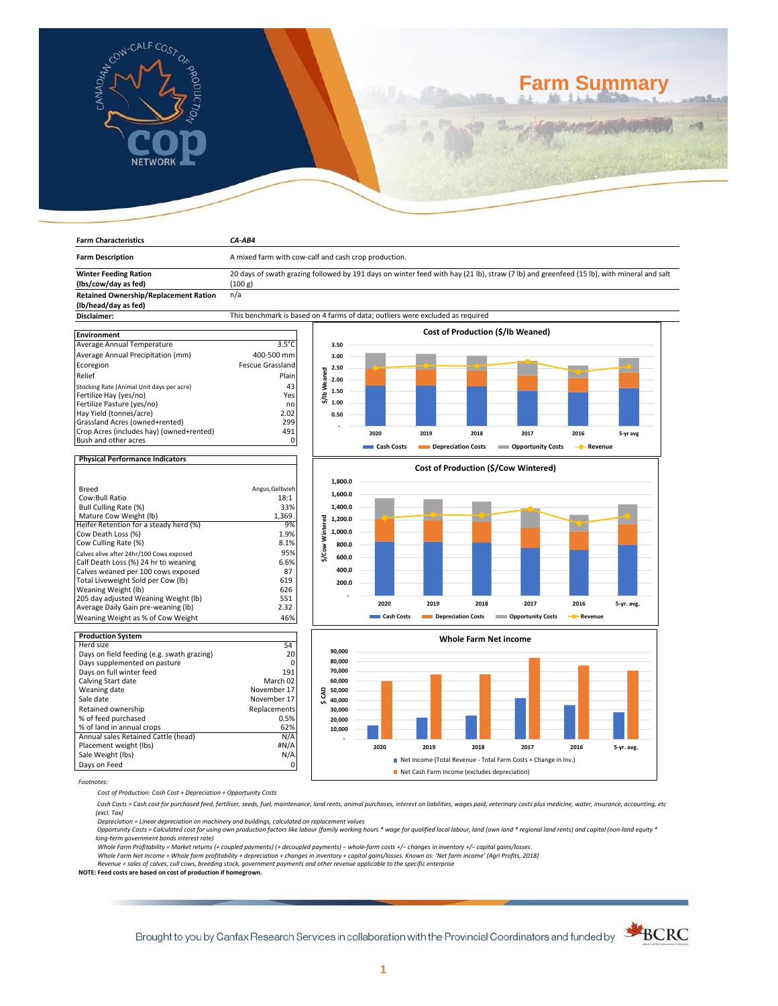

**Farm Characteristics** *CA-AB4*

# **Farm Summary**

| <b>Farm Description</b>                                              | A mixed farm with cow-calf and cash crop production.                                                                                                |                         |            |                                      |                           |               |            |  |  |
|----------------------------------------------------------------------|-----------------------------------------------------------------------------------------------------------------------------------------------------|-------------------------|------------|--------------------------------------|---------------------------|---------------|------------|--|--|
| <b>Winter Feeding Ration</b><br>(lbs/cow/day as fed)                 | 20 days of swath grazing followed by 191 days on winter feed with hay (21 lb), straw (7 lb) and greenfeed (15 lb), with mineral and salt<br>(100 g) |                         |            |                                      |                           |               |            |  |  |
| <b>Retained Ownership/Replacement Ration</b><br>(lb/head/day as fed) | n/a                                                                                                                                                 |                         |            |                                      |                           |               |            |  |  |
| Disclaimer:                                                          | This benchmark is based on 4 farms of data; outliers were excluded as required                                                                      |                         |            |                                      |                           |               |            |  |  |
|                                                                      |                                                                                                                                                     |                         |            |                                      |                           |               |            |  |  |
| <b>Environment</b>                                                   |                                                                                                                                                     |                         |            | Cost of Production (\$/lb Weaned)    |                           |               |            |  |  |
| Average Annual Temperature                                           | $3.5^{\circ}$ C                                                                                                                                     | 3.50                    |            |                                      |                           |               |            |  |  |
| Average Annual Precipitation (mm)                                    | 400-500 mm                                                                                                                                          | 3.00                    |            |                                      |                           |               |            |  |  |
| Ecoregion                                                            | <b>Fescue Grassland</b>                                                                                                                             | 2.50                    |            |                                      |                           |               |            |  |  |
| Relief                                                               | Plain                                                                                                                                               | <b>b</b> Weaned<br>2.00 |            |                                      |                           |               |            |  |  |
| Stocking Rate (Animal Unit days per acre)                            | 43                                                                                                                                                  |                         |            |                                      |                           |               |            |  |  |
| Fertilize Hay (yes/no)                                               | Yes                                                                                                                                                 | 1.50                    |            |                                      |                           |               |            |  |  |
| Fertilize Pasture (yes/no)                                           | no                                                                                                                                                  | 忘<br>1.00               |            |                                      |                           |               |            |  |  |
| Hay Yield (tonnes/acre)                                              | 2.02                                                                                                                                                | 0.50                    |            |                                      |                           |               |            |  |  |
| Grassland Acres (owned+rented)                                       | 299                                                                                                                                                 |                         |            |                                      |                           |               |            |  |  |
| Crop Acres (includes hay) (owned+rented)                             | 491                                                                                                                                                 |                         | 2020       | 2019<br>2018                         | 2017                      | 2016          | 5-yr avg   |  |  |
| Bush and other acres                                                 | $\mathbf 0$                                                                                                                                         |                         | Cash Costs | Depreciation Costs                   | <b>Opportunity Costs</b>  | - Revenue     |            |  |  |
| <b>Physical Performance Indicators</b>                               |                                                                                                                                                     |                         |            |                                      |                           |               |            |  |  |
|                                                                      |                                                                                                                                                     |                         |            | Cost of Production (\$/Cow Wintered) |                           |               |            |  |  |
|                                                                      |                                                                                                                                                     | 1,800.0                 |            |                                      |                           |               |            |  |  |
| <b>Breed</b>                                                         | Angus, Gelbvieh                                                                                                                                     | 1,600.0                 |            |                                      |                           |               |            |  |  |
| Cow:Bull Ratio                                                       | 18:1                                                                                                                                                |                         |            |                                      |                           |               |            |  |  |
| Bull Culling Rate (%)                                                | 33%<br>1,369                                                                                                                                        | 1,400.0                 |            |                                      |                           |               |            |  |  |
| Mature Cow Weight (lb)<br>Heifer Retention for a steady herd (%)     | 9%                                                                                                                                                  | Wintered<br>1,200.0     |            |                                      |                           |               |            |  |  |
| Cow Death Loss (%)                                                   | 1.9%                                                                                                                                                | 1,000.0                 |            |                                      |                           |               |            |  |  |
| Cow Culling Rate (%)                                                 | 8.1%                                                                                                                                                |                         |            |                                      |                           |               |            |  |  |
| Calves alive after 24hr/100 Cows exposed                             | 95%                                                                                                                                                 | 800.0<br>Cow            |            |                                      |                           |               |            |  |  |
| Calf Death Loss (%) 24 hr to weaning                                 | 6.6%                                                                                                                                                | 600.0<br>৯              |            |                                      |                           |               |            |  |  |
| Calves weaned per 100 cows exposed                                   | 87                                                                                                                                                  | 400.0                   |            |                                      |                           |               |            |  |  |
| Total Liveweight Sold per Cow (lb)                                   | 619                                                                                                                                                 | 200.0                   |            |                                      |                           |               |            |  |  |
| Weaning Weight (lb)                                                  | 626                                                                                                                                                 |                         |            |                                      |                           |               |            |  |  |
| 205 day adjusted Weaning Weight (lb)                                 | 551                                                                                                                                                 |                         |            |                                      |                           |               |            |  |  |
| Average Daily Gain pre-weaning (lb)                                  | 2.32                                                                                                                                                |                         | 2020       | 2019<br>2018                         | 2017                      | 2016          | 5-yr. avg. |  |  |
| Weaning Weight as % of Cow Weight                                    | 46%                                                                                                                                                 |                         | Cash Costs | Depreciation Costs                   | <b>Copportunity Costs</b> | Revenue<br>-0 |            |  |  |
| <b>Production System</b>                                             |                                                                                                                                                     |                         |            |                                      |                           |               |            |  |  |
| Herd size                                                            | 54                                                                                                                                                  |                         |            | <b>Whole Farm Net income</b>         |                           |               |            |  |  |
| Days on field feeding (e.g. swath grazing)                           | 20                                                                                                                                                  | 90,000                  |            |                                      |                           |               |            |  |  |
| Days supplemented on pasture                                         | $\Omega$                                                                                                                                            | 80,000                  |            |                                      |                           |               |            |  |  |
| Days on full winter feed                                             | 191                                                                                                                                                 | 70,000                  |            |                                      |                           |               |            |  |  |
| Calving Start date                                                   | March 02                                                                                                                                            | 60,000                  |            |                                      |                           |               |            |  |  |
| Weaning date                                                         | November 17                                                                                                                                         | \$CAD<br>50,000         |            |                                      |                           |               |            |  |  |
| Sale date                                                            | November 17                                                                                                                                         | 40,000                  |            |                                      |                           |               |            |  |  |
| Retained ownership                                                   | Replacements                                                                                                                                        | 30,000                  |            |                                      |                           |               |            |  |  |
| % of feed purchased                                                  | 0.5%                                                                                                                                                | 20,000                  |            |                                      |                           |               |            |  |  |
| % of land in annual crops                                            | 62%                                                                                                                                                 | 10,000                  |            |                                      |                           |               |            |  |  |
| Annual sales Retained Cattle (head)                                  | N/A                                                                                                                                                 |                         |            |                                      |                           |               |            |  |  |
| Placement weight (lbs)                                               | #N/A                                                                                                                                                |                         | 2020       | 2019<br>2018                         | 2017                      | 2016          | 5-yr. avg. |  |  |

*Footnotes:*

*Cost of Production: Cash Cost + Depreciation + Opportunity Costs*

Sale Weight (lbs) N/A Days on Feed 0

 *Cash Costs = Cash cost for purchased feed, fertiliser, seeds, fuel, maintenance, land rents, animal purchases, interest on liabilities, wages paid, veterinary costs plus medicine, water, insurance, accounting, etc (excl. Tax)* 

■ Net Income (Total Revenue - Total Farm Costs + Change in Inv.)

Net Cash Farm Income (excludes depreciation)

Depreciation = Linear depreciation on machinery and buildings, calculated on replacement values<br>Opportunity Costs = Calculated cost for using own production factors like labour (family working hours \* wage for qualified lo *long-term government bonds interest rate)* 

Whole Farm Profitability = Market returns (+ coupled payments) (+ decoupled payments) – whole-farm costs +/– changes in inventory +/– capital gains/losses.<br>Whole Farm Net Income = Whole farm profitability + depreciation +

*Revenue = sales of calves, cull cows, breeding stock, government payments and other revenue applicable to the specific enterprise* **NOTE: Feed costs are based on cost of production if homegrown.**

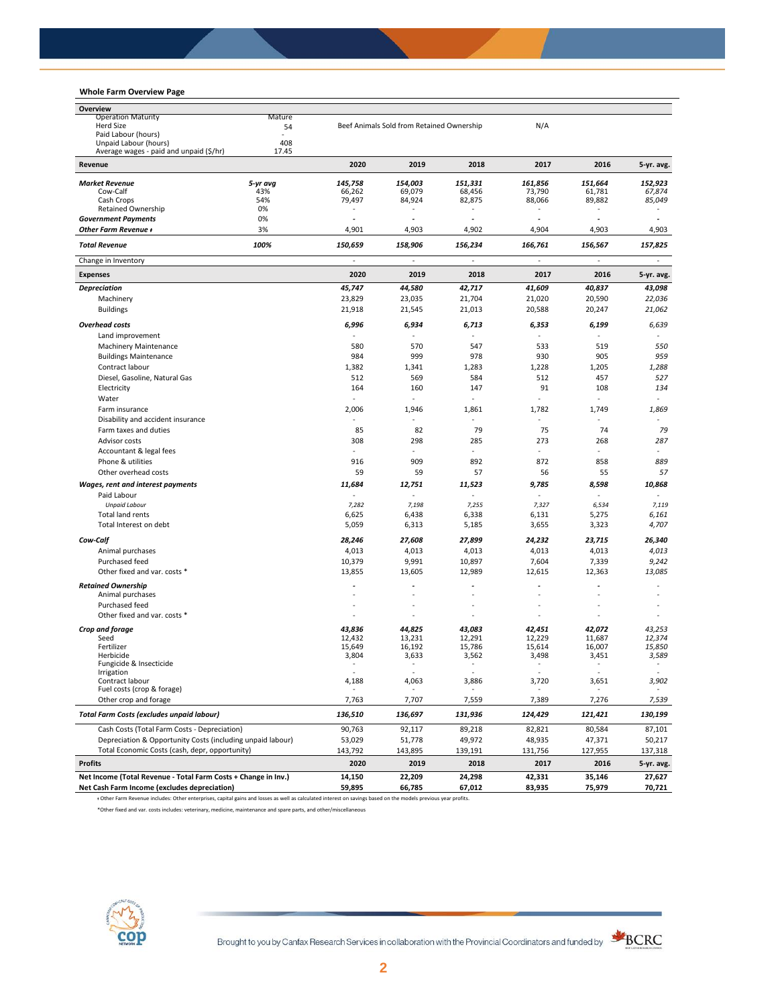# **Whole Farm Overview Page**

| Overview                                                                                                                                                        |                 |                   |                                           |                   |                          |                          |                          |
|-----------------------------------------------------------------------------------------------------------------------------------------------------------------|-----------------|-------------------|-------------------------------------------|-------------------|--------------------------|--------------------------|--------------------------|
| <b>Operation Maturity</b>                                                                                                                                       | Mature          |                   |                                           |                   |                          |                          |                          |
| <b>Herd Size</b><br>54                                                                                                                                          |                 |                   | Beef Animals Sold from Retained Ownership |                   | N/A                      |                          |                          |
| Paid Labour (hours)                                                                                                                                             | 408             |                   |                                           |                   |                          |                          |                          |
| Unpaid Labour (hours)<br>Average wages - paid and unpaid (\$/hr)                                                                                                | 17.45           |                   |                                           |                   |                          |                          |                          |
| Revenue                                                                                                                                                         |                 | 2020              | 2019                                      | 2018              | 2017                     | 2016                     | 5-yr. avg.               |
|                                                                                                                                                                 |                 |                   |                                           |                   |                          |                          |                          |
| <b>Market Revenue</b><br>Cow-Calf                                                                                                                               | 5-yr avg<br>43% | 145,758<br>66,262 | 154,003<br>69,079                         | 151,331<br>68,456 | 161,856<br>73,790        | 151,664<br>61,781        | 152,923<br>67,874        |
| Cash Crops                                                                                                                                                      | 54%             | 79,497            | 84,924                                    | 82,875            | 88,066                   | 89,882                   | 85,049                   |
| Retained Ownership                                                                                                                                              | 0%              |                   |                                           |                   |                          |                          |                          |
| <b>Government Payments</b>                                                                                                                                      | 0%              | $\overline{a}$    | ä,                                        | ٠                 | $\overline{\phantom{a}}$ | $\overline{\phantom{a}}$ |                          |
| Other Farm Revenue +                                                                                                                                            | 3%              | 4,901             | 4,903                                     | 4,902             | 4,904                    | 4,903                    | 4,903                    |
| <b>Total Revenue</b>                                                                                                                                            | 100%            | 150,659           | 158,906                                   | 156,234           | 166,761                  | 156,567                  | 157,825                  |
| Change in Inventory                                                                                                                                             |                 |                   |                                           |                   | ä,                       |                          |                          |
| <b>Expenses</b>                                                                                                                                                 |                 | 2020              | 2019                                      | 2018              | 2017                     | 2016                     | 5-yr. avg.               |
| <b>Depreciation</b>                                                                                                                                             |                 | 45,747            | 44,580                                    | 42,717            | 41,609                   | 40,837                   | 43,098                   |
| Machinery                                                                                                                                                       |                 | 23,829            | 23,035                                    | 21,704            | 21,020                   | 20,590                   | 22,036                   |
| <b>Buildings</b>                                                                                                                                                |                 | 21,918            | 21,545                                    | 21,013            | 20,588                   | 20,247                   | 21,062                   |
| <b>Overhead costs</b>                                                                                                                                           |                 | 6,996             | 6,934                                     | 6,713             | 6,353                    | 6,199                    | 6,639                    |
| Land improvement                                                                                                                                                |                 |                   |                                           |                   |                          |                          |                          |
| <b>Machinery Maintenance</b>                                                                                                                                    |                 | 580               | 570                                       | 547               | 533                      | 519                      | 550                      |
| <b>Buildings Maintenance</b>                                                                                                                                    |                 | 984               | 999                                       | 978               | 930                      | 905                      | 959                      |
| Contract labour                                                                                                                                                 |                 |                   |                                           |                   |                          |                          |                          |
|                                                                                                                                                                 |                 | 1,382             | 1,341                                     | 1,283             | 1,228                    | 1,205                    | 1,288                    |
| Diesel, Gasoline, Natural Gas                                                                                                                                   |                 | 512               | 569                                       | 584               | 512                      | 457                      | 527                      |
| Electricity                                                                                                                                                     |                 | 164               | 160                                       | 147               | 91                       | 108                      | 134                      |
| Water                                                                                                                                                           |                 | $\sim$            |                                           | ÷.                |                          | $\overline{\phantom{a}}$ | $\overline{\phantom{a}}$ |
| Farm insurance                                                                                                                                                  |                 | 2,006             | 1,946                                     | 1,861             | 1,782                    | 1,749                    | 1,869                    |
| Disability and accident insurance                                                                                                                               |                 |                   |                                           |                   | ä,                       |                          |                          |
| Farm taxes and duties                                                                                                                                           |                 | 85                | 82                                        | 79                | 75                       | 74                       | 79                       |
| Advisor costs                                                                                                                                                   |                 | 308               | 298                                       | 285               | 273                      | 268                      | 287                      |
| Accountant & legal fees                                                                                                                                         |                 |                   |                                           |                   | ÷                        |                          |                          |
| Phone & utilities                                                                                                                                               |                 | 916               | 909                                       | 892               | 872                      | 858                      | 889                      |
| Other overhead costs                                                                                                                                            |                 | 59                | 59                                        | 57                | 56                       | 55                       | 57                       |
| Wages, rent and interest payments                                                                                                                               |                 | 11,684            | 12,751                                    | 11,523            | 9,785                    | 8,598                    | 10,868                   |
| Paid Labour                                                                                                                                                     |                 |                   |                                           |                   |                          |                          |                          |
| <b>Unpaid Labour</b>                                                                                                                                            |                 | 7,282             | 7,198                                     | 7,255             | 7,327                    | 6,534                    | 7,119                    |
| Total land rents                                                                                                                                                |                 | 6,625             | 6,438                                     | 6,338             | 6,131                    | 5,275                    | 6,161                    |
| Total Interest on debt                                                                                                                                          |                 | 5,059             | 6,313                                     | 5,185             | 3,655                    | 3,323                    | 4,707                    |
|                                                                                                                                                                 |                 |                   |                                           |                   |                          |                          |                          |
| Cow-Calf                                                                                                                                                        |                 | 28,246            | 27,608                                    | 27,899            | 24,232                   | 23,715                   | 26,340                   |
| Animal purchases                                                                                                                                                |                 | 4,013             | 4,013                                     | 4,013             | 4,013                    | 4,013                    | 4,013                    |
| Purchased feed                                                                                                                                                  |                 | 10,379            | 9,991                                     | 10,897            | 7,604                    | 7,339                    | 9,242                    |
| Other fixed and var. costs *                                                                                                                                    |                 | 13,855            | 13,605                                    | 12,989            | 12,615                   | 12,363                   | 13,085                   |
| <b>Retained Ownership</b>                                                                                                                                       |                 | ٠                 |                                           |                   |                          |                          |                          |
| Animal purchases                                                                                                                                                |                 |                   |                                           |                   |                          |                          |                          |
| Purchased feed                                                                                                                                                  |                 |                   |                                           |                   |                          |                          |                          |
| Other fixed and var. costs *                                                                                                                                    |                 | ÷,                |                                           |                   | ÷,                       |                          |                          |
| Crop and forage                                                                                                                                                 |                 | 43,836            | 44,825                                    | 43,083            | 42,451                   | 42,072                   | 43,253                   |
| Seed                                                                                                                                                            |                 | 12,432            | 13,231                                    | 12,291            | 12,229                   | 11,687                   | 12,374                   |
| Fertilizer                                                                                                                                                      |                 | 15,649            | 16,192                                    | 15.786            | 15,614                   | 16,007                   | 15,850                   |
| Herbicide                                                                                                                                                       |                 | 3,804             | 3,633                                     | 3,562             | 3,498                    | 3,451                    | 3,589                    |
| Fungicide & Insecticide                                                                                                                                         |                 |                   |                                           |                   |                          |                          |                          |
| Irrigation<br>Contract labour                                                                                                                                   |                 | 4,188             | 4,063                                     | 3,886             | 3,720                    | 3,651                    | 3,902                    |
| Fuel costs (crop & forage)                                                                                                                                      |                 |                   |                                           |                   |                          |                          |                          |
| Other crop and forage                                                                                                                                           |                 | 7,763             | 7,707                                     | 7,559             | 7,389                    | 7,276                    | 7,539                    |
| <b>Total Farm Costs (excludes unpaid labour)</b>                                                                                                                |                 | 136,510           | 136,697                                   | 131,936           | 124,429                  | 121,421                  | 130,199                  |
| Cash Costs (Total Farm Costs - Depreciation)                                                                                                                    |                 | 90,763            | 92,117                                    | 89,218            | 82,821                   | 80,584                   | 87,101                   |
| Depreciation & Opportunity Costs (including unpaid labour)                                                                                                      |                 | 53,029            | 51,778                                    | 49,972            | 48,935                   | 47,371                   | 50,217                   |
| Total Economic Costs (cash, depr, opportunity)                                                                                                                  |                 | 143,792           | 143,895                                   | 139,191           | 131,756                  | 127,955                  | 137,318                  |
| <b>Profits</b>                                                                                                                                                  |                 | 2020              | 2019                                      | 2018              | 2017                     | 2016                     | 5-yr. avg.               |
| Net Income (Total Revenue - Total Farm Costs + Change in Inv.)                                                                                                  |                 | 14,150            | 22,209                                    | 24,298            | 42,331                   | 35,146                   | 27,627                   |
| Net Cash Farm Income (excludes depreciation)                                                                                                                    |                 | 59,895            | 66,785                                    | 67,012            | 83,935                   | 75,979                   | 70,721                   |
| + Other Farm Revenue includes: Other enterprises, capital gains and losses as well as calculated interest on savings based on the models previous year profits. |                 |                   |                                           |                   |                          |                          |                          |

\*Other fixed and var. costs includes: veterinary, medicine, maintenance and spare parts, and other/miscellaneous



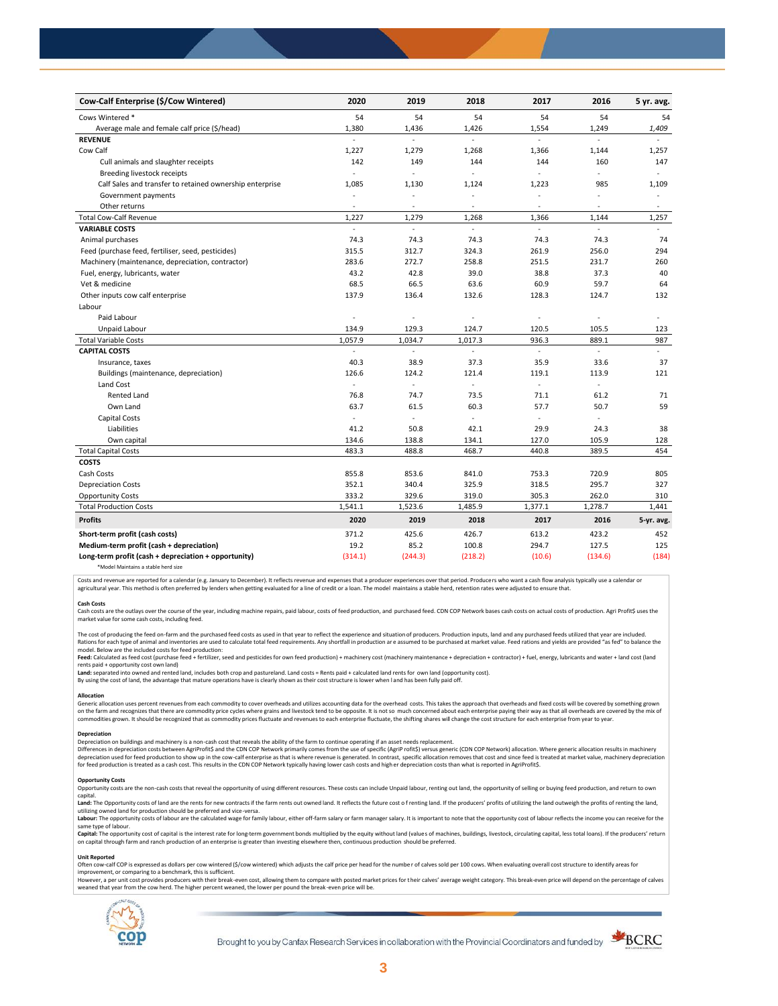| Cow-Calf Enterprise (\$/Cow Wintered)                    | 2020                     | 2019           | 2018                     | 2017     | 2016                     | 5 yr. avg.               |
|----------------------------------------------------------|--------------------------|----------------|--------------------------|----------|--------------------------|--------------------------|
| Cows Wintered *                                          | 54                       | 54             | 54                       | 54       | 54                       | 54                       |
| Average male and female calf price (\$/head)             | 1,380                    | 1,436          | 1,426                    | 1,554    | 1,249                    | 1,409                    |
| <b>REVENUE</b>                                           | $\overline{a}$           | ÷              | $\mathbb{Z}^2$           | ÷,       | $\overline{\phantom{a}}$ |                          |
| Cow Calf                                                 | 1,227                    | 1,279          | 1,268                    | 1,366    | 1,144                    | 1,257                    |
| Cull animals and slaughter receipts                      | 142                      | 149            | 144                      | 144      | 160                      | 147                      |
| Breeding livestock receipts                              | $\sim$                   | L,             |                          | ä,       | ÷,                       | ÷                        |
| Calf Sales and transfer to retained ownership enterprise | 1,085                    | 1,130          | 1,124                    | 1,223    | 985                      | 1,109                    |
| Government payments                                      | ÷,                       | ÷,             | $\ddot{\phantom{1}}$     | $\sim$   | ÷,                       | $\bar{a}$                |
| Other returns                                            | $\overline{\phantom{a}}$ | $\overline{a}$ | $\overline{\phantom{a}}$ | $\sim$   | $\sim$                   | $\overline{\phantom{a}}$ |
| <b>Total Cow-Calf Revenue</b>                            | 1,227                    | 1,279          | 1,268                    | 1,366    | 1,144                    | 1,257                    |
| <b>VARIABLE COSTS</b>                                    | L.                       | L.             | $\mathbb{Z}^2$           | ÷,       | ä,                       | $\omega$                 |
| Animal purchases                                         | 74.3                     | 74.3           | 74.3                     | 74.3     | 74.3                     | 74                       |
| Feed (purchase feed, fertiliser, seed, pesticides)       | 315.5                    | 312.7          | 324.3                    | 261.9    | 256.0                    | 294                      |
| Machinery (maintenance, depreciation, contractor)        | 283.6                    | 272.7          | 258.8                    | 251.5    | 231.7                    | 260                      |
| Fuel, energy, lubricants, water                          | 43.2                     | 42.8           | 39.0                     | 38.8     | 37.3                     | 40                       |
| Vet & medicine                                           | 68.5                     | 66.5           | 63.6                     | 60.9     | 59.7                     | 64                       |
| Other inputs cow calf enterprise                         | 137.9                    | 136.4          | 132.6                    | 128.3    | 124.7                    | 132                      |
| Labour                                                   |                          |                |                          |          |                          |                          |
| Paid Labour                                              | L.                       | ä,             | ÷,                       | ÷.       | ÷.                       | ÷                        |
| Unpaid Labour                                            | 134.9                    | 129.3          | 124.7                    | 120.5    | 105.5                    | 123                      |
| <b>Total Variable Costs</b>                              | 1,057.9                  | 1,034.7        | 1,017.3                  | 936.3    | 889.1                    | 987                      |
| <b>CAPITAL COSTS</b>                                     |                          |                |                          |          |                          |                          |
| Insurance, taxes                                         | 40.3                     | 38.9           | 37.3                     | 35.9     | 33.6                     | 37                       |
| Buildings (maintenance, depreciation)                    | 126.6                    | 124.2          | 121.4                    | 119.1    | 113.9                    | 121                      |
| Land Cost                                                | $\blacksquare$           | ÷,             |                          |          |                          |                          |
| <b>Rented Land</b>                                       | 76.8                     | 74.7           | 73.5                     | 71.1     | 61.2                     | 71                       |
| Own Land                                                 | 63.7                     | 61.5           | 60.3                     | 57.7     | 50.7                     | 59                       |
| Capital Costs                                            | $\overline{\phantom{a}}$ | L.             |                          | $\omega$ | $\overline{a}$           |                          |
| Liabilities                                              | 41.2                     | 50.8           | 42.1                     | 29.9     | 24.3                     | 38                       |
| Own capital                                              | 134.6                    | 138.8          | 134.1                    | 127.0    | 105.9                    | 128                      |
| <b>Total Capital Costs</b>                               | 483.3                    | 488.8          | 468.7                    | 440.8    | 389.5                    | 454                      |
| <b>COSTS</b>                                             |                          |                |                          |          |                          |                          |
| Cash Costs                                               | 855.8                    | 853.6          | 841.0                    | 753.3    | 720.9                    | 805                      |
| <b>Depreciation Costs</b>                                | 352.1                    | 340.4          | 325.9                    | 318.5    | 295.7                    | 327                      |
| <b>Opportunity Costs</b>                                 | 333.2                    | 329.6          | 319.0                    | 305.3    | 262.0                    | 310                      |
| <b>Total Production Costs</b>                            | 1,541.1                  | 1,523.6        | 1,485.9                  | 1,377.1  | 1,278.7                  | 1,441                    |
| <b>Profits</b>                                           | 2020                     | 2019           | 2018                     | 2017     | 2016                     | 5-yr. avg.               |
| Short-term profit (cash costs)                           | 371.2                    | 425.6          | 426.7                    | 613.2    | 423.2                    | 452                      |
| Medium-term profit (cash + depreciation)                 | 19.2                     | 85.2           | 100.8                    | 294.7    | 127.5                    | 125                      |
| Long-term profit (cash + depreciation + opportunity)     | (314.1)                  | (244.3)        | (218.2)                  | (10.6)   | (134.6)                  | (184)                    |
|                                                          |                          |                |                          |          |                          |                          |

\*Model Maintains a stable herd size

Costs and revenue are reported for a calendar (e.g. January to December). It reflects revenue and expenses that a producer experiences over that period. Producers who want a cash flow analysis typically use a calendar or agricultural year. This method is often preferred by lenders when getting evaluated for a line of credit or a loan. The model maintains a stable herd, retention rates were adjusted to ensure that

C<mark>ash Costs</mark><br>Cash costs are the outlays over the course of the year, including machine repairs, paid labour, costs of feed production, and purchased feed. CDN COP Network bases cash costs on actual costs of production. Agr market value for some cash costs, including feed.

The cost of producing the feed on-farm and the purchased feed costs as used in that year to reflect the experience and situation of producers. Production inputs, land and any purchased feeds utilized that year are included model. Below are the included costs for feed production:

moder.outwhat was made used to receip would continuour.<br>**Feed:** Calculated as feed cost (purchase feed + fertilizer, seed and pesticides for own feed production) + machinery cost (machinery maintenance + depreciation + con rents paid + opportunity cost own land)

**Land:** separated into owned and rented land, includes both crop and pastureland. Land costs = Rents paid + calculated land rents for own land (opportunity cost).

By using the cost of land, the advantage that mature operations have is clearly shown as their cost structure is lower when l and has been fully paid off.

### **Allocation**

Generic allocation uses percent revenues from each commodity to cover overheads and utilizes accounting data for the overhead costs. This takes the approach that overheads and fixed costs will be covered by something grown commodities grown. It should be recognized that as commodity prices fluctuate and revenues to each enterprise fluctuate, the shifting shares will change the cost structure for each enterprise from year to year.

# **Depreciation**

Depreciation on buildings and machinery is a non-cash cost that reveals the ability of the farm to continue operating if an asset needs replacement. Differences in depreciation costs between AgriProfit\$ and the CDN COP Network primarily comes from the use of specific (AgriP rofit\$) versus generic (CDN COP Network) allocation. Where generic allocation results in machine

## **Opportunity Costs**

Provincing COSS are the non-cash costs that reveal the opportunity of using different resources. These costs can include Unpaid labour, renting out land, the opportunity of selling or buying feed production, and return to capital.

required.<br>Land: The Opportunity costs of land are the rents for new contracts if the farm rents out owned land. It reflects the future cost of renting land. If the producers' profits of utilizing the land outweigh the prof utilizing owned land for production should be preferred and vice-versa.<br>**Labour:** The opportunity costs of labour are the calculated wage for family labour, either off-farm salary or farm manager salary. It is important to

same type of labour.

**Capita**l: The opportunity cost of capital is the interest rate for long-term government bonds multiplied by the equity without land (values of machines, buildings, livestock, circulating capital, less total loans). If the

### **Unit Reported**

Often cow-calf COP is expressed as dollars per cow wintered (\$/cow wintered) which adjusts the calf price per head for the number of calves sold per 100 cows. When evaluating overall cost structure to identify areas for<br>im

however..export of the structure with the structure of the break-even cost. allowing them to compare with posted market prices for their calves' average weight category. This break-even price will depend on the percentage weaned that year from the cow herd. The higher percent weaned, the lower per pound the break -even price will be.



Brought to you by Canfax Research Services in collaboration with the Provincial Coordinators and funded by